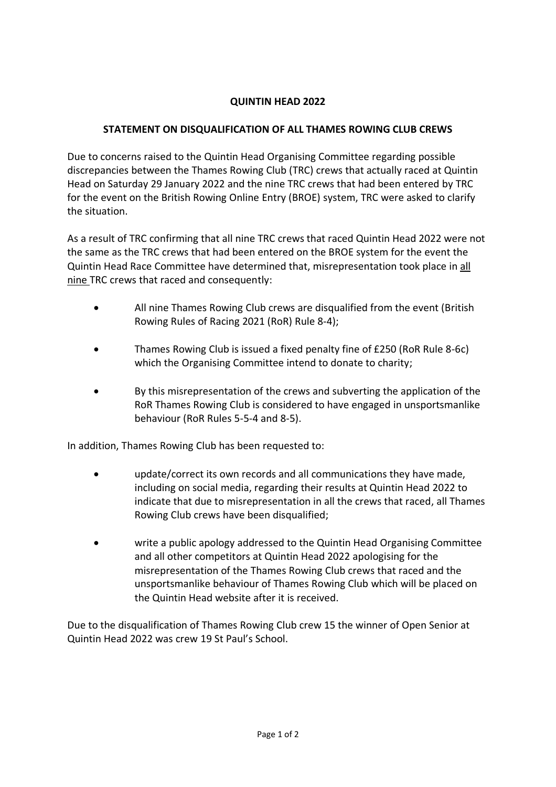## **QUINTIN HEAD 2022**

## **STATEMENT ON DISQUALIFICATION OF ALL THAMES ROWING CLUB CREWS**

Due to concerns raised to the Quintin Head Organising Committee regarding possible discrepancies between the Thames Rowing Club (TRC) crews that actually raced at Quintin Head on Saturday 29 January 2022 and the nine TRC crews that had been entered by TRC for the event on the British Rowing Online Entry (BROE) system, TRC were asked to clarify the situation.

As a result of TRC confirming that all nine TRC crews that raced Quintin Head 2022 were not the same as the TRC crews that had been entered on the BROE system for the event the Quintin Head Race Committee have determined that, misrepresentation took place in all nine TRC crews that raced and consequently:

- All nine Thames Rowing Club crews are disqualified from the event (British Rowing Rules of Racing 2021 (RoR) Rule 8-4);
- Thames Rowing Club is issued a fixed penalty fine of £250 (RoR Rule 8-6c) which the Organising Committee intend to donate to charity;
- By this misrepresentation of the crews and subverting the application of the RoR Thames Rowing Club is considered to have engaged in unsportsmanlike behaviour (RoR Rules 5-5-4 and 8-5).

In addition, Thames Rowing Club has been requested to:

- update/correct its own records and all communications they have made, including on social media, regarding their results at Quintin Head 2022 to indicate that due to misrepresentation in all the crews that raced, all Thames Rowing Club crews have been disqualified;
- write a public apology addressed to the Quintin Head Organising Committee and all other competitors at Quintin Head 2022 apologising for the misrepresentation of the Thames Rowing Club crews that raced and the unsportsmanlike behaviour of Thames Rowing Club which will be placed on the Quintin Head website after it is received.

Due to the disqualification of Thames Rowing Club crew 15 the winner of Open Senior at Quintin Head 2022 was crew 19 St Paul's School.